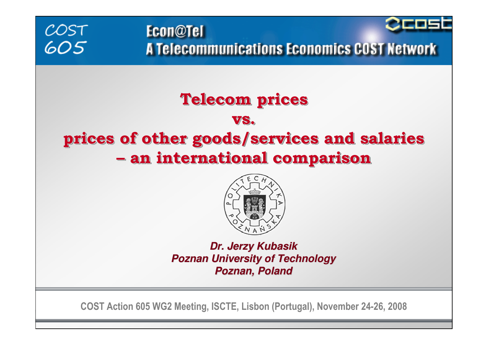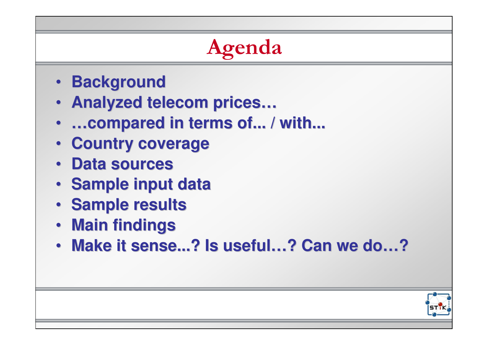# • **Background** • **Analyzed telecom prices…** • **…compared in terms of... / with...** • **Country coverage**• **Data sources** • **Sample input data**• **Sample results**• **Main findings** • **Make it sense...? Is useful…? Can we do…?**Agenda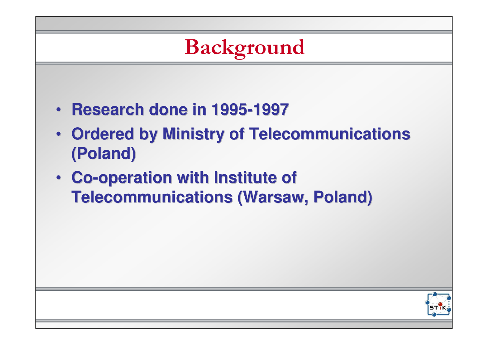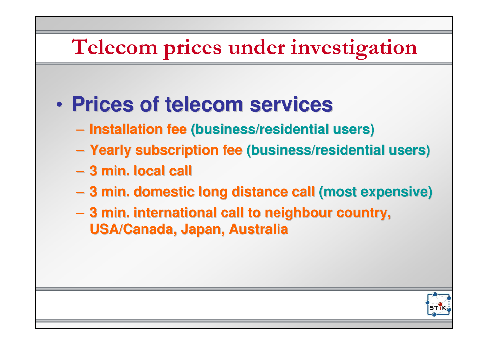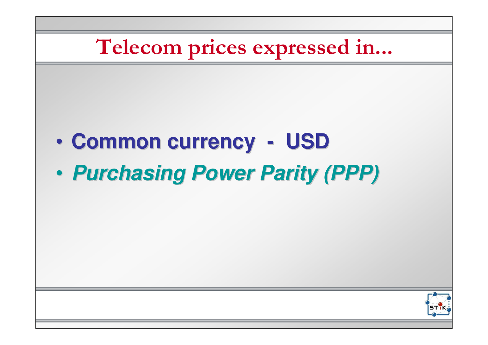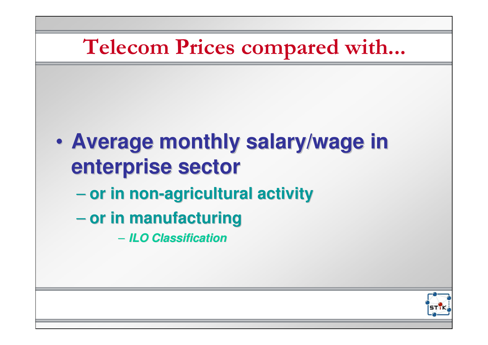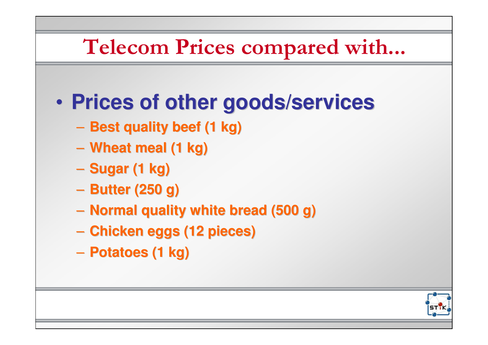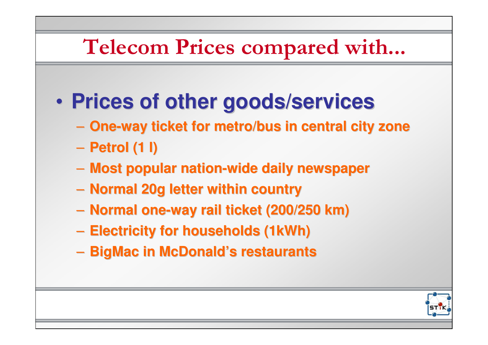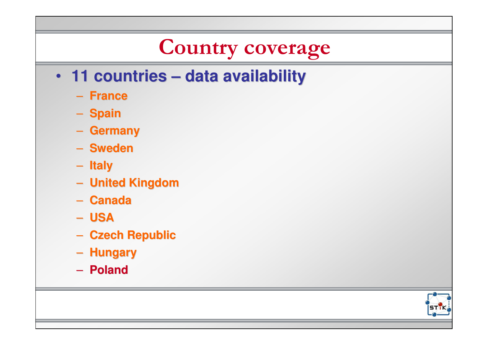### Country coverage

- **11 countries – data availability**
	- **France**
	- S<mark>pain</mark>
	- **Germany**
	- **Sweden**
	- **Italy**
	- **United Kingdom**
	- **Canada**
	- **USA**
	- **Czech Republic**
	- **Hungary**
	- **Poland**

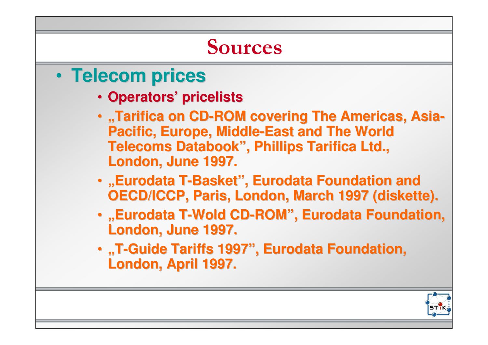### Sources

- • **Telecom prices**
	- **Operators' pricelists**
	- •**"Tarifica on CD-ROM covering The Americas, Asia-Pacific, Europe, Middle-East and The World Telecoms Databook", Phillips Tarifica Ltd., London, June 1997.**
	- •**"Eurodata T-Basket", Eurodata Foundation and OECD/ICCP, Paris, London, March 1997 (diskette).**
	- •**"Eurodata T-Wold CD-ROM", Eurodata Foundation, London, June 1997.**
	- •**"T-Guide Tariffs 1997", Eurodata Foundation, London, April 1997.**

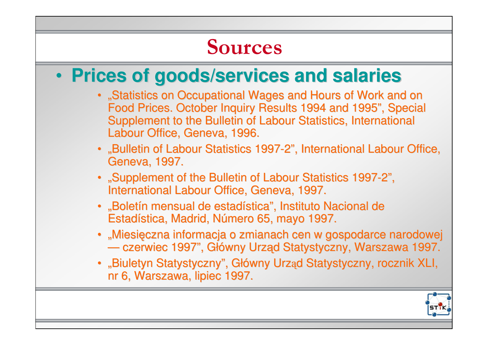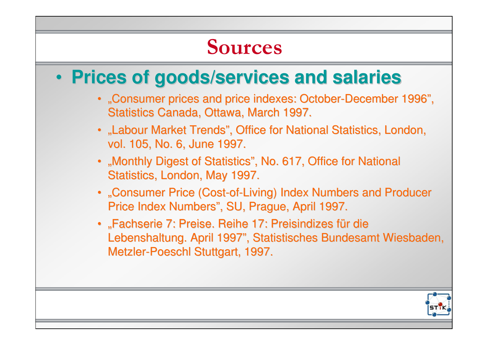### • **Prices of goods/services and salaries** •"Consumer prices and price indexes: October-December 1996", Statistics Canada, Ottawa, March 1997.• "Labour Market Trends", Office for National Statistics, London, vol. 105, No. 6, June 1997.• "Monthly Digest of Statistics", No. 617, Office for National Statistics, London, May 1997.• "Consumer Price (Cost-of-Living) Index Numbers and Producer Price Index Numbers", SU, Prague, April 1997.• "Fachserie 7: Preise. Reihe 17: Preisindizes für die Lebenshaltung. April 1997", Statistisches Bundesamt Wiesbaden, Metzler-Poeschl Stuttgart, 1997.Sources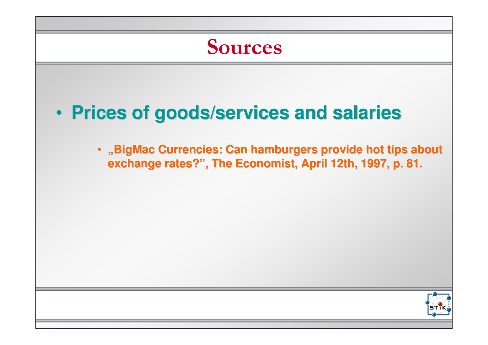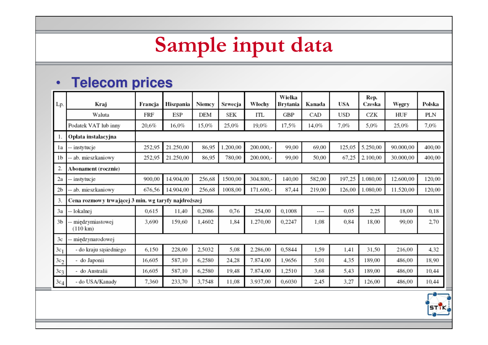## Sample input data

## • **Telecom prices**

| Lp.             | Kraj                                                | Francja | Hiszpania | Niemcy | Szwecja  | Włochy    | Wielka<br>Brytania | Kanada | USA    | Rep.<br>Czeska | Węgry     | Polska |  |  |
|-----------------|-----------------------------------------------------|---------|-----------|--------|----------|-----------|--------------------|--------|--------|----------------|-----------|--------|--|--|
|                 | Waluta                                              | FRF     | ESP       | DEM    | SEK      | ITL       | GBP                | CAD    | USD    | CZK            | HUF       | PLN    |  |  |
|                 | Podatek VAT lub inny                                | 20,6%   | 16,0%     | 15,0%  | 25,0%    | 19,0%     | 17,5%              | 14,0%  | 7,0%   | 5,0%           | 25,0%     | 7,0%   |  |  |
|                 | Opłata instalacyjna                                 |         |           |        |          |           |                    |        |        |                |           |        |  |  |
| 1a              | -- instytucje                                       | 252,95  | 21.250,00 | 86,95  | 1.200,00 | 200.000,- | 99,00              | 69,00  | 125,05 | 5.250,00       | 90.000,00 | 400,00 |  |  |
| 1 <sub>b</sub>  | - ab. mieszkaniowy                                  | 252,95  | 21.250,00 | 86,95  | 780,00   | 200.000,- | 99,00              | 50,00  | 67,25  | 2,100,00       | 30.000,00 | 400,00 |  |  |
| 2.              | Abonament (rocznie)                                 |         |           |        |          |           |                    |        |        |                |           |        |  |  |
| 2a              | -- instytucje                                       | 900.00  | 14.904,00 | 256,68 | 1500,00  | 304.800,- | 140,00             | 582,00 | 197,25 | 1.080,00       | 12.600,00 | 120,00 |  |  |
| 2 <sub>b</sub>  | -- ab. mieszkaniowy                                 | 676,56  | 14.904,00 | 256,68 | 1008,00  | 171.600,- | 87,44              | 219,00 | 126,00 | 1.080,00       | 11.520,00 | 120,00 |  |  |
| 3.              | Cena rozmowy trwającej 3 min. wg taryfy najdroższej |         |           |        |          |           |                    |        |        |                |           |        |  |  |
| 3a              | -- lokalnej                                         | 0.615   | 11,40     | 0,2086 | 0,76     | 254,00    | 0,1008             | ----   | 0,05   | 2,25           | 18,00     | 0,18   |  |  |
| 3 <sub>b</sub>  | międzymiastowej<br>$(110 \text{ km})$               | 3,690   | 159,60    | 1,4602 | 1,84     | 1.270,00  | 0,2247             | 1,08   | 0,84   | 18,00          | 99,00     | 2,70   |  |  |
| 3c              | miedzynarodowej                                     |         |           |        |          |           |                    |        |        |                |           |        |  |  |
| $3c_1$          | - do kraju sąsiedniego                              | 6,150   | 228,00    | 2,5032 | 5,08     | 2.286,00  | 0,5844             | 1,59   | 1,41   | 31,50          | 216,00    | 4,32   |  |  |
| 3c <sub>2</sub> | - do Japonii                                        | 16,605  | 587,10    | 6,2580 | 24,28    | 7.874,00  | 1,9656             | 5,01   | 4,35   | 189,00         | 486,00    | 18,90  |  |  |
| 3с3             | - do Australii                                      | 16,605  | 587,10    | 6,2580 | 19,48    | 7.874,00  | 1,2510             | 3,68   | 5,43   | 189,00         | 486,00    | 10,44  |  |  |
| $3c_4$          | - do USA/Kanady                                     | 7,360   | 233,70    | 3,7548 | 11,08    | 3.937,00  | 0,6030             | 2,45   | 3,27   | 126,00         | 486,00    | 10,44  |  |  |

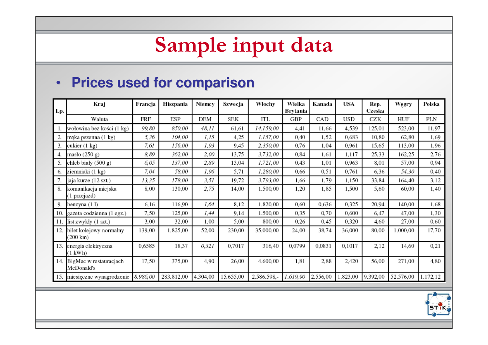### Sample input data

### • **Prices used for comparison**

| Lp. | Kraj                                 | Francja  | Hiszpania  | Niemcy   | Szwecja   | Włochy      | Wielka<br>Brytania | Kanada   | USA      | Rep.<br>Czeska | Węgry     | Polska   |
|-----|--------------------------------------|----------|------------|----------|-----------|-------------|--------------------|----------|----------|----------------|-----------|----------|
|     | Waluta                               | FRF      | ESP        | DEM      | SEK       | ITL         | GBP                | CAD      | USD      | CZK            | HUF       | PLN      |
|     | wołowina bez kości (1 kg)            | 99,80    | 850,00     | 48,11    | 61,61     | 14.159,00   | 4,41               | 11.66    | 4,539    | 125,01         | 523,00    | 11,97    |
|     | mąka pszenna (1 kg)                  | 5,36     | 104,00     | 1,15     | 4,25      | 1.157,00    | 0,40               | 1,52     | 0,683    | 10,80          | 62,80     | 1,69     |
| 3.  | cukier (1 kg)                        | 7,61     | 156,00     | 1,93     | 9,45      | 2.350,00    | 0,76               | 1,04     | 0,961    | 15,65          | 113,00    | 1,96     |
| 4.  | masło (250 g)                        | 8,89     | 362,00     | 2,00     | 13,75     | 3.732,00    | 0,84               | 1,61     | 1,117    | 25,33          | 162,25    | 2,76     |
| 5.  | chleb biały (500 g)                  | 6,05     | 137,00     | 2,89     | 13,04     | 1.721,00    | 0,43               | 1,01     | 0,963    | 8,01           | 57,00     | 0,94     |
| 6.  | ziemniaki (1 kg)                     | 7,04     | 58,00      | 1,96     | 5,71      | 1.280,00    | 0,66               | 0,51     | 0,761    | 6,36           | 54,30     | 0,40     |
|     | jaja kurze (12 szt.)                 | 13,35    | 178,00     | 3,51     | 19,72     | 3.793,00    | 1.66               | 1,79     | 1,150    | 33,84          | 164,40    | 3,12     |
| 8.  | komunikacja miejska<br>(1 przejazd)  | 8,00     | 130,00     | 2,75     | 14,00     | 1.500,00    | 1,20               | 1,85     | 1,500    | 5,60           | 60,00     | 1,40     |
| 9.  | benzyna (11)                         | 6.16     | 116,90     | 1,64     | 8,12      | 1.820,00    | 0.60               | 0.636    | 0,325    | 20,94          | 140,00    | 1,68     |
| 10. | gazeta codzienna (1 egz.)            | 7,50     | 125,00     | 1,44     | 9,14      | 1.500,00    | 0,35               | 0,70     | 0.600    | 6,47           | 47,00     | 1,30     |
| 11. | list zwykły (1 szt.)                 | 3,00     | 32,00      | 1,00     | 5,00      | 800,00      | 0,26               | 0,45     | 0,320    | 4.60           | 27,00     | 0,60     |
| 12. | bilet kolejowy normalny<br>(200 km)  | 139,00   | 1.825,00   | 52,00    | 230,00    | 35.000,00   | 24,00              | 38,74    | 36,000   | 80,00          | 1.000,00  | 17,70    |
| 13. | energia elektryczna<br>(1 kWh)       | 0,6585   | 18,37      | 0,321    | 0,7017    | 316,40      | 0,0799             | 0,0831   | 0,1017   | 2,12           | 14,60     | 0,21     |
| 14. | BigMac w restauracjach<br>McDonald's | 17,50    | 375,00     | 4,90     | 26,00     | 4.600,00    | 1,81               | 2,88     | 2,420    | 56,00          | 271,00    | 4,80     |
| 15. | miesięczne wynagrodzenie             | 8.986,00 | 283.812,00 | 4.304,00 | 15.655,00 | 2.586.598,- | 1.619,90           | 2.556,00 | 1.823,00 | 9.392,00       | 52.576,00 | 1.172,12 |

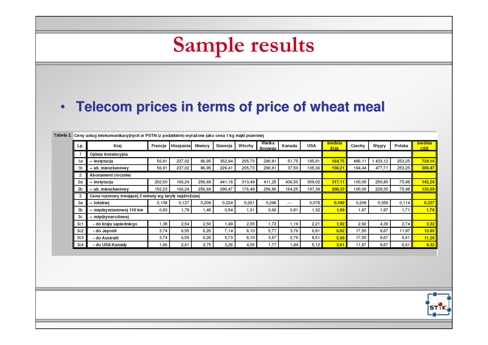| • Telecom prices in terms of price of wheat meal |                                                                                                                                    |                                    |                                                              |                                                                                                       |                                                 |                                                |                                                                                                                                             |                                              |                                             |                                      |                                                |                                                 |                                              |
|--------------------------------------------------|------------------------------------------------------------------------------------------------------------------------------------|------------------------------------|--------------------------------------------------------------|-------------------------------------------------------------------------------------------------------|-------------------------------------------------|------------------------------------------------|---------------------------------------------------------------------------------------------------------------------------------------------|----------------------------------------------|---------------------------------------------|--------------------------------------|------------------------------------------------|-------------------------------------------------|----------------------------------------------|
|                                                  |                                                                                                                                    |                                    |                                                              |                                                                                                       |                                                 |                                                |                                                                                                                                             |                                              |                                             |                                      |                                                |                                                 |                                              |
|                                                  |                                                                                                                                    |                                    |                                                              |                                                                                                       |                                                 |                                                |                                                                                                                                             |                                              |                                             |                                      |                                                |                                                 |                                              |
|                                                  |                                                                                                                                    |                                    |                                                              |                                                                                                       |                                                 | Wielka                                         |                                                                                                                                             |                                              | <u>šrednia</u>                              |                                      |                                                |                                                 | <u>šrednia</u>                               |
|                                                  |                                                                                                                                    |                                    |                                                              |                                                                                                       |                                                 | Brvtania                                       |                                                                                                                                             |                                              | <b>EUA</b>                                  |                                      |                                                |                                                 | <b>CEE</b>                                   |
|                                                  |                                                                                                                                    |                                    |                                                              |                                                                                                       |                                                 |                                                |                                                                                                                                             |                                              |                                             |                                      |                                                |                                                 | 724,16                                       |
|                                                  |                                                                                                                                    |                                    |                                                              |                                                                                                       |                                                 |                                                |                                                                                                                                             |                                              |                                             |                                      |                                                |                                                 | 308,47                                       |
|                                                  |                                                                                                                                    |                                    |                                                              |                                                                                                       |                                                 |                                                |                                                                                                                                             |                                              |                                             |                                      |                                                |                                                 |                                              |
|                                                  |                                                                                                                                    |                                    |                                                              |                                                                                                       |                                                 |                                                |                                                                                                                                             |                                              |                                             |                                      |                                                |                                                 | 142.26                                       |
|                                                  |                                                                                                                                    |                                    |                                                              |                                                                                                       |                                                 |                                                |                                                                                                                                             |                                              |                                             |                                      |                                                |                                                 | 135.09                                       |
|                                                  |                                                                                                                                    |                                    |                                                              |                                                                                                       |                                                 |                                                |                                                                                                                                             |                                              |                                             |                                      |                                                |                                                 |                                              |
| -- lokalnej                                      | 0,138                                                                                                                              | 0,127                              | 0,209                                                        | 0,224                                                                                                 | 0,261                                           | 0,296                                          | ---                                                                                                                                         | 0.078                                        | 0.190                                       | 0,208                                | 0,358                                          | 0.114                                           | 0,227                                        |
| -- międzymiastowej 110 km                        | 0.83                                                                                                                               | 1,78                               | 1,46                                                         | 0,54                                                                                                  | 1,31                                            | 0,66                                           | 0,81                                                                                                                                        | 1,32                                         | 1,09                                        | 1,67                                 | 1,97                                           | 1,71                                            | 1,78                                         |
| -- międzynarodowej                               |                                                                                                                                    |                                    |                                                              |                                                                                                       |                                                 |                                                |                                                                                                                                             |                                              |                                             |                                      |                                                |                                                 |                                              |
| - do kraju sąsiedniego                           | 1,38                                                                                                                               | 2,54                               | 2,50                                                         | 1,49                                                                                                  | 2,35                                            | 1,72                                           | 1,19                                                                                                                                        | 2,21                                         | 1.92                                        | 2,92                                 | 4,30                                           | 2.74                                            | 3,32                                         |
| - do Japonii                                     | 3,74                                                                                                                               | 6,55                               | 6,26                                                         | 7,14                                                                                                  | 8.10                                            | 5,77                                           | 3,76                                                                                                                                        | 6,81                                         | 6.02                                        | 17,50                                | 9,67                                           | 11,97                                           | 13.05                                        |
| - do Australii                                   | 3,74                                                                                                                               | 6,55                               | 6,26                                                         | 5,73                                                                                                  | 8,10                                            | 3,67                                           | 2,76                                                                                                                                        | 8,51                                         | 5.66                                        | 17,50                                | 9.67                                           | 6,61                                            | 11,26                                        |
| - do USA/Kanady                                  | 1,66                                                                                                                               | 2,61                               | 3,75                                                         | 3,26                                                                                                  | 4.05                                            | 1,77                                           | 1.84                                                                                                                                        | 5.12                                         | 3.01                                        | 11,67                                | 9,67                                           | 6,61                                            | 9,32                                         |
|                                                  | Kraj<br>Opłata instalacyjna<br>-- instytucja<br>-- ab. mieszkaniowy<br>Abonament (rocznie)<br>-- instytucja<br>-- ab. mieszkaniowy | 56,91<br>56,91<br>202,50<br>152.23 | Francja<br>Hiszpania<br>237,02<br>237,02<br>166,24<br>166,24 | Niemcy<br>86,95<br>86,95<br>256,68<br>256,68<br>Cena rozmowy trwającej 3 minuty wg taryfy najdroższej | Szwecja<br>352,94<br>229,41<br>441,18<br>296,47 | Włochy<br>205,70<br>205,70<br>313,49<br>176,49 | Tabela 2. Ceny usług telekomunikacyjnych w PSTN (z podatkiem) wyrażone jako cena 1 kg maki pszennej<br>290,81<br>290,81<br>411,25<br>256,86 | Kanada<br>51,75<br>37,50<br>436,50<br>164.25 | USA<br>195,91<br>105,36<br>309,02<br>197,39 | 184.75<br>156.21<br>317.11<br>208,33 | Czechy<br>486,11<br>194,44<br>100,00<br>100,00 | Węgry<br>1 433,12<br>477,71<br>250,80<br>229,30 | Polska<br>253,25<br>253,25<br>75,98<br>75,98 |

┑

 $\overline{\phantom{a}}$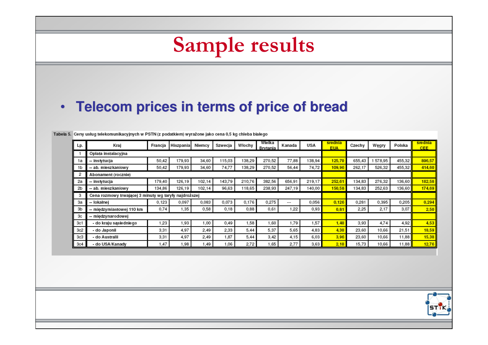|            | • Telecom prices in terms of price of bread                                                            |         |           |        |         |        |                    |        |        |                              |        |         |        |                              |
|------------|--------------------------------------------------------------------------------------------------------|---------|-----------|--------|---------|--------|--------------------|--------|--------|------------------------------|--------|---------|--------|------------------------------|
|            |                                                                                                        |         |           |        |         |        |                    |        |        |                              |        |         |        |                              |
|            |                                                                                                        |         |           |        |         |        |                    |        |        |                              |        |         |        |                              |
|            | Tabela 5. Ceny usług telekomunikacyjnych w PSTN (z podatkiem) wyrażone jako cena 0,5 kg chleba białego |         |           |        |         |        |                    |        |        |                              |        |         |        |                              |
| Lp.        | Kraj                                                                                                   | Francja | Hiszpania | Niemcy | Szwecja | Włochy | Wielka<br>Brvtania | Kanada | USA    | <u>srednia</u><br><b>EUA</b> | Czechy | Węgry   | Polska | <u>srednia</u><br><b>CEE</b> |
| -1         | Opłata instalacyjna                                                                                    |         |           |        |         |        |                    |        |        |                              |        |         |        |                              |
| 1a         | -- instytucja                                                                                          | 50,42   | 179,93    | 34,60  | 115,03  | 138,29 | 270,52             | 77,88  | 138,94 | 125,70                       | 655,43 | 1578,95 | 455,32 | 896,57                       |
| 1b         | -- ab. mieszkaniowy                                                                                    | 50.42   | 179,93    | 34,60  | 74,77   | 138.29 | 270.52             | 56.44  | 74.72  | 109.96                       | 262,17 | 526,32  | 455,32 | 414.60                       |
| 2          | Abonament (rocznie)                                                                                    |         |           |        |         |        |                    |        |        |                              |        |         |        |                              |
| 2a         | -- instytucja                                                                                          | 179,40  | 126,19    | 102,14 | 143,79  | 210,76 | 382,56             | 656,91 | 219,17 | 252,61                       | 134,83 | 276,32  | 136,60 | 182.58                       |
| 2b         | -- ab. mieszkaniowy                                                                                    | 134,86  | 126,19    | 102,14 | 96,63   | 118,65 | 238,93             | 247,19 | 140,00 | 150,58                       | 134,83 | 252,63  | 136,60 | 174.69                       |
| з          | Cena rozmowy trwającej 3 minuty wg taryfy najdroższej                                                  |         |           |        |         |        |                    |        |        |                              |        |         |        |                              |
| За         | -- lokalnej                                                                                            | 0.123   | 0.097     | 0,083  | 0,073   | 0,176  | 0.275              |        | 0.056  | 0.126                        | 0,281  | 0,395   | 0,205  | 0.294                        |
| 3b         | -- międzymiastowej 110 km                                                                              | 0,74    | 1,35      | 0,58   | 0.18    | 0.88   | 0.61               | 1.22   | 0.93   | 0.81                         | 2,25   | 2.17    | 3.07   | 2.50                         |
| Зс         | -- międzynarodowej                                                                                     |         |           |        |         |        |                    |        |        |                              |        |         |        |                              |
| 3c1        | - do kraju sąsiedniego                                                                                 | 1,23    | 1,93      | 1,00   | 0,49    | 1,58   | 1,60               | 1,79   | 1,57   | 1,40                         | 3,93   | 4,74    | 4,92   | 4,53                         |
|            | - do Japonii                                                                                           | 3,31    | 4,97      | 2,49   | 2,33    | 5,44   | 5,37               | 5,65   | 4,83   | 4,30                         | 23,60  | 10,66   | 21,51  | 18,59                        |
| 3c2        | - do Australii                                                                                         | 3,31    | 4,97      | 2,49   | 1,87    | 5,44   | 3,42               | 4,15   | 6,03   | 3.96                         | 23,60  | 10.66   | 11,88  | 15,38                        |
| 3c3<br>3c4 | - do USA/Kanady                                                                                        | 1,47    | 1,98      | 1,49   | 1,06    | 2,72   | 1,65               | 2,77   | 3,63   | 2.10                         | 15,73  | 10,66   | 11.88  | 12,76                        |

 $\overline{ }$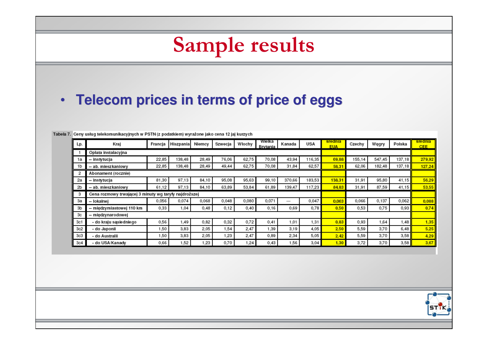### Sample results • **Telecom prices in terms of price of eggs**Tabela 7. Ceny usług telekomunikacyjnych w PSTN (z podatkiem) wyrażone jako cena 12 jaj kurzych Wielka srednia srednia Włochy Lp. Krai Francia Hiszpania Niemcy Szwecia Kanada **USA** Czechv Wegry Polska **Brytania FUA CFF** Oplata instalacyjna -1 -- instytucja 22.85 138,48 28,49 76,06 62,75 70,08 43,94 116,35 69,88 155,14 547,45 137,18 279,92 1a 22,85 138,48 28,49 49,44 62,75 70,08 31,84 62,57 58.31 62,06 182,48 137,18 1b -- ab. mieszkaniowy 127.24 Abonament (rocznie)  $\overline{2}$ 2a -- instytucja 81.30 97,13 84,10 95,08 95.63 99,10 370.66 183,53 138.31 31,91 95,80 41,15 56.29 61,12 97,13 63,89 53,84 139,47 117,23 87,59 2b -- ab. mieszkaniowy 84,10 61,89 84.83 31,91 41.15 53.55 Cena rozmowy trwającej 3 minuty wg taryfy najdroższej 3 0.056 0,068 0,048 0,080 0,071 0.047 0.063 0,066 0,137 0.062 0,074  $0.088$ За -- lokalnej  $\ldots$ 0,69 0,75 Зb -- międzymiastowej 110 km 0,33 1,04 0,48  $0,12$  $0,40$ 0,16 0,78  $0,50$ 0,53 0,93 0,74 3c -- międzynarodowej  $3c1$ - do kraju sąsiedniego 0,56 1,49 0,82 0,32 0,72  $0,41$  $1,01$ 1,31  $0,83$ 0,93 1,64 1,48  $1,35$ 1,54 4.05  $3c2$ - do Japonii 1,50 3,83 2,05 2,47 1,39  $3,19$  $2,50$ 5,59 3,70 6.48  $5.25$ 1,50 3,83 2,05 1,23 2.47 0,89 2,34 5,05 5,59 3,70 3.58  $3c3$ - do Australii  $2,42$ 4.29 - do USA/Kanady 0,66 1,52 1,23 0,70 1,24  $0,43$ 1,56  $3,04$ 3,72 3,70 3,58  $1,30$ 3,67

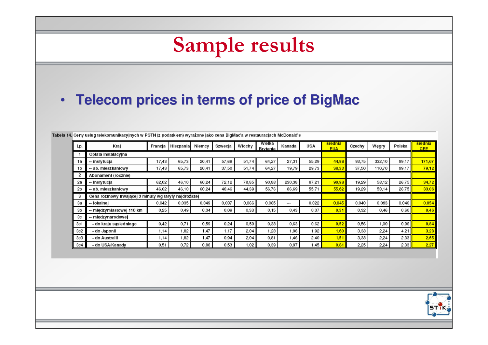### Sample results • **Telecom prices in terms of price of BigMac**Tabela 14. Ceny usług telekomunikacyjnych w PSTN (z podatkiem) wyrażone jako cena BigMac'a w restauracjach McDonald's Wielka srednia srednia Lp. Kraj Francia Hiszpania Niemcy Szwecja Włochy Kanada USA Czechy Weary Polska **Rrytanis FUA CEE** Oplata instalacyjna -1 1a -- instytucja 17,43 65.73 20,41 57,69 51.74 64,27 27,31 55.29 44.98 93.75 332.10 89.17 171,67 1<sub>b</sub> -- ab. mieszkaniowy 17.43 65,73  $20,41$ 37,50 51,74 64.27 19.79 29,73 38.33 37,50 110,70 89.17 79.12  $\overline{2}$ Abonament (rocznie) -- instytucja 62,02 46,10 60,24 72,12 78,85 90,88 230,38 87,21 90,98 19,29 58,12 26,75 34,72 2a 2b -- ab. mieszkaniowy 46,62 46,10 60,24 48,46 44,39 56,76 86,69 55,71 55,62 19,29 53,14 26,75 33.06 3 Cena rozmowy trwającej 3 minuty wg taryfy najdroższej 0.042 0.035 0,066 0.065 0.045 0,040 0,040 0.054 За -- lokalnej 0,049 0,037 0.022 0,083  $\cdots$ 0.25 0,09 0.33 0,43 0,46 3b -- międzymiastowej 110 km 0,49 0,34  $0,15$ 0,37  $0.31$ 0,32 0.60  $0.46$ -- międzynarodowej Зс - do kraju sąsiedniego  $0,42$ 0,71 0,59 0,24 0,63 0,62  $0,52$ 0,56 0,96 0.84  $3c1$ 0,59 0,38 1,00  $3c2$ - do Japonii 1.14 1.82 1.47 1,17 2.04 1,28 1,98 1.92 1.60 3,38 2.24 4.21  $3.28$ - do Australii 1.14 1,47 0,94 2.04 0.81 2,40 1.51 3,38 2,24 2.33  $3c3$ 1,82 1,46 2.65  $3c4$ - do USA/Kanady  $0,51$ 0,72 0,88 0,53 1,02 0,39 0,97 1,45  $0.81$ 2,25 2,24 2,33  $2,27$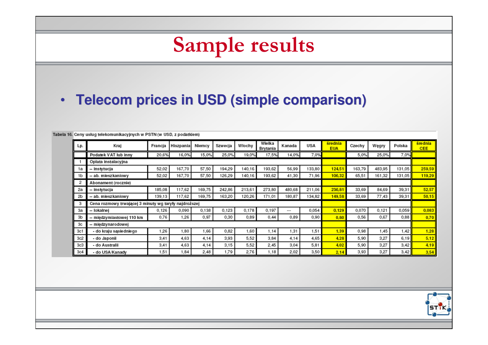### Sample results

### • **Telecom prices in USD (simple comparison)**

Tabela 16. Ceny usług telekomunikacyjnych w PSTN (w USD, z podatkiem)

| Lp. | Kraj                                                  | Francja | Hiszpania | Niemcy | Szwecja | Włochy | Wielka<br>Brytania | Kanada | <b>USA</b> | średnia<br><b>EUA</b> | Czechy | Węgry  | Polska | średnia<br><b>CEE</b> |
|-----|-------------------------------------------------------|---------|-----------|--------|---------|--------|--------------------|--------|------------|-----------------------|--------|--------|--------|-----------------------|
|     | Podatek VAT lub inny                                  | 20,6%   | 16,0%     | 15,0%  | 25,0%   | 19,0%  | 17,5%              | 14,0%  | 7,0%       |                       | 5,0%   | 25,0%  | 7,0%   |                       |
|     | Opłata instalacyjna                                   |         |           |        |         |        |                    |        |            |                       |        |        |        |                       |
| 1a  | -- instytucja                                         | 52,02   | 167,70    | 57,50  | 194.29  | 140,16 | 193,62             | 56,99  | 133,80     | 124.51                | 163,79 | 483,95 | 131,05 | 259,59                |
| 1b  | – ab. mieszkaniowy                                    | 52,02   | 167,70    | 57,50  | 126,29  | 140,16 | 193,62             | 41,30  | 71,96      | 106.32                | 65,51  | 161,32 | 131,05 | 119,29                |
|     | Abonament (rocznie)                                   |         |           |        |         |        |                    |        |            |                       |        |        |        |                       |
| 2a  | -- instytucja                                         | 185,08  | 117,62    | 169,75 | 242,86  | 213,61 | 273,80             | 480,68 | 211,06     | 236,81                | 33,69  | 84,69  | 39,31  | 52,57                 |
| 2b  | -- ab. mieszkaniowy                                   | 139,13  | 117,62    | 169,75 | 163,20  | 120,26 | 171,01             | 180,87 | 134,82     | 149,58                | 33,69  | 77,43  | 39,31  | 50,15                 |
| з   | Cena rozmowy trwającej 3 minuty wg taryfy najdroższej |         |           |        |         |        |                    |        |            |                       |        |        |        |                       |
| 3a  | -- lokalnej                                           | 0.126   | 0.090     | 0,138  | 0,123   | 0,178  | 0,197              | ---    | 0,054      | 0.129                 | 0,070  | 0.121  | 0,059  | 0,083                 |
| 3b  | -- międzymiastowej 110 km                             | 0,76    | 1,26      | 0,97   | 0,30    | 0,89   | 0.44               | 0,89   | 0,90       | 0.80                  | 0,56   | 0,67   | 0,88   | 0,70                  |
| 3c  | -- międzynarodowej                                    |         |           |        |         |        |                    |        |            |                       |        |        |        |                       |
| 3c1 | - do kraju sąsiedniego                                | 1,26    | 1.80      | .66    | 0,82    | 1,60   | 1.14               | 1,31   | 1.51       | 1.39                  | 0,98   | .45    | 1,42   | 1,28                  |
| 3c2 | - do Japonii                                          | 3.41    | 4.63      | 4,14   | 3,93    | 5,52   | 3.84               | 4,14   | 4,65       | 4.28                  | 5,90   | 3,27   | 6,19   | 5,12                  |
| 3c3 | - do Australii                                        | 3,41    | 4,63      | 4,14   | 3,15    | 5,52   | 2,45               | 3,04   | 5,81       | 4.02                  | 5,90   | 3,27   | 3,42   | 4.19                  |
| 3c4 | - do USA/Kanady                                       | 1,51    | 1,84      | 2,48   | 1,79    | 2,76   | 1.18               | 2,02   | 3,50       | 2,14                  | 3,93   | 3,27   | 3,42   | 3,54                  |

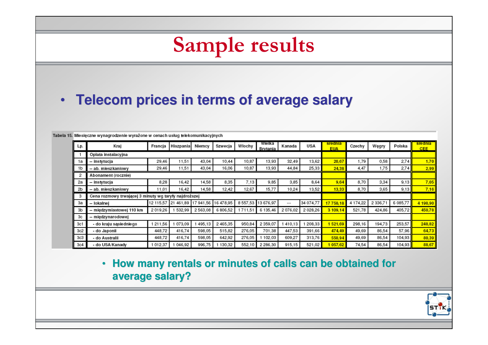### Sample results

## • **Telecom prices in terms of average salary**

| Lp. | Kraj                                                  | Francia | Hiszpania                               | Niemcy  | Szwecja  | Włochy  | Wielka<br>Brvtania | Kanada  | USA        | srednia<br><b>EUA</b> | Czechy   | Węgry       | Polska   | srednia<br>CEE. |
|-----|-------------------------------------------------------|---------|-----------------------------------------|---------|----------|---------|--------------------|---------|------------|-----------------------|----------|-------------|----------|-----------------|
|     | Oplata instalacyjna                                   |         |                                         |         |          |         |                    |         |            |                       |          |             |          |                 |
| 1a  | -- instytucja                                         | 29,46   | 11,51                                   | 43,04   | 10,44    | 10,87   | 13,93              | 32,49   | 13,62      | 20,67                 | 79، ا    | 0,58        | 2,74     | 1,70            |
| 1b  | -- ab. mieszkaniowy                                   | 29,46   | 11,51                                   | 43,04   | 16,06    | 10,87   | 13,93              | 44,84   | 25,33      | 24.38                 | 4,47     | 1,75        | 2,74     | 2,99            |
| 2   | Abonament (rocznie)                                   |         |                                         |         |          |         |                    |         |            |                       |          |             |          |                 |
| 2a  | -- instytucja                                         | 8.28    | 16.42                                   | 14,58   | 8,35     | 7,13    | 9.85               | 3,85    | 8,64       | 9.64                  | 8,70     | 3,34        | 9,13     | 7.05            |
| 2b  | -- ab. mieszkaniowy                                   | 11,01   | 16,42                                   | 14,58   | 12,42    | 12,67   | 15,77              | 10,24   | 13,52      | 13,33                 | 8,70     | 3,65        | 9,13     | 7,16            |
| з   | Cena rozmowy trwającej 3 minuty wg taryfy najdroższej |         |                                         |         |          |         |                    |         |            |                       |          |             |          |                 |
| За  | -- lokalnej                                           |         | 12 115.57 21 461.89 17 941.56 16 478.95 |         |          | 8557,53 | 13 676,97          | ---     | 34 074,77  | 17 758 18             | 4 174,22 | 2 3 3 6 , 7 | 6 085,77 | 4 198,90        |
| 3b  | -- międzymiastowej 110 km                             | 2019.26 | 532,99                                  | 2563,08 | 6 806,52 | 711,51  | 6 135,46           | 2076,02 | 2 0 28, 26 | 3 109.14              | 521,78   | 424,86      | 405,72   | 450,78          |
| Зс  | -- międzynarodowej                                    |         |                                         |         |          |         |                    |         |            |                       |          |             |          |                 |
| 3c1 | - do kraju sąsiedniego                                | 211,56  | 073,09                                  | 495.13  | 2465,35  | 950,84  | 2 359,07           | 410.13  | 208,33     | 521.69                | 298,16   | 194,73      | 253,57   | 248,82          |
| 3c2 | - do Japonii                                          | 448.72  | 416,74                                  | 598,05  | 515,82   | 276,05  | 701.38             | 447,53  | 391,66     | 474.49                | 49,69    | 86,54       | 57.96    | 64,73           |
| 3c3 | - do Australii                                        | 448.72  | 416,74                                  | 598,05  | 642,92   | 276,05  | 102,03             | 609,27  | 313,76     | 550,94                | 49,69    | 86,54       | 104,93   | 80,39           |
| 3c4 | - do USA/Kanady                                       | 012.37  | 046,92                                  | 996,75  | 130,32   | 552,10  | 2 2 8 6 . 3 0      | 915,15  | 521,02     | 057.62                | 74,54    | 86,54       | 104,93   | 88,67           |

Tabela 15. Miesieczne wynagrodzenie wyrażone w cenach usług telekomunikacyjnych

### • **How many rentals or minutes of calls can be obtained for average salary?**

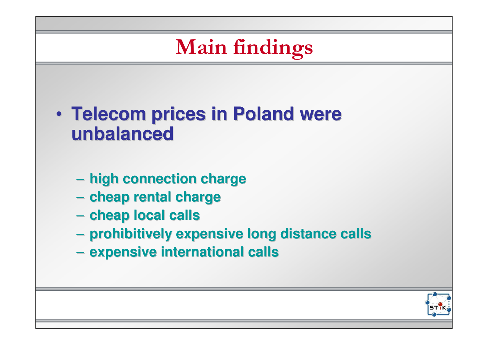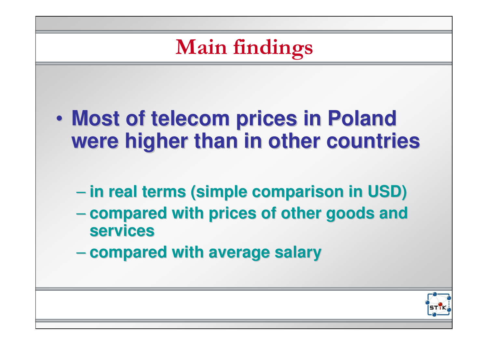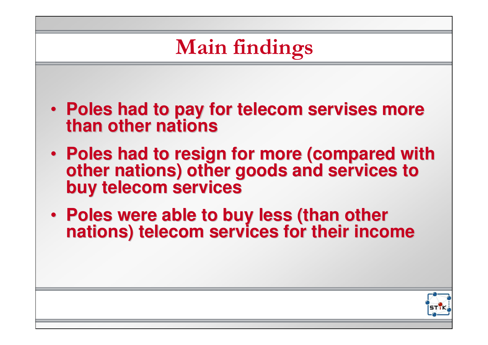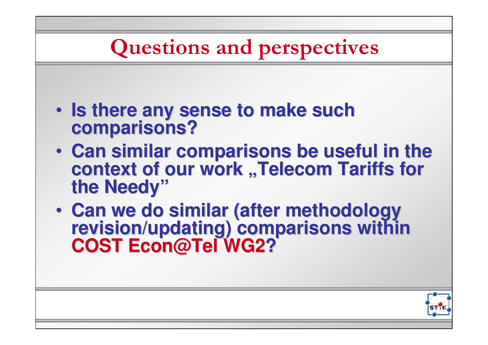